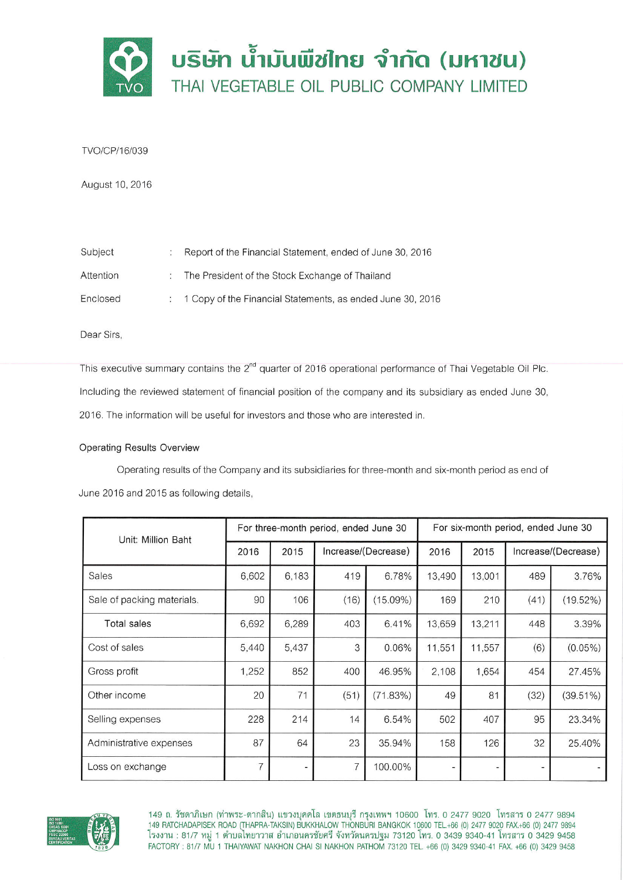

TVO/CP/16/039

August 10, 2016

| Subject   | Report of the Financial Statement, ended of June 30, 2016  |
|-----------|------------------------------------------------------------|
| Attention | The President of the Stock Exchange of Thailand            |
| Enclosed  | 1 Copy of the Financial Statements, as ended June 30, 2016 |

Dear Sirs.

This executive summary contains the 2<sup>nd</sup> quarter of 2016 operational performance of Thai Vegetable Oil Plc. Including the reviewed statement of financial position of the company and its subsidiary as ended June 30, 2016. The information will be useful for investors and those who are interested in.

# **Operating Results Overview**

Operating results of the Company and its subsidiaries for three-month and six-month period as end of June 2016 and 2015 as following details.

| Unit: Million Baht         | For three-month period, ended June 30 |       |                     |          | For six-month period, ended June 30 |        |                     |            |
|----------------------------|---------------------------------------|-------|---------------------|----------|-------------------------------------|--------|---------------------|------------|
|                            | 2016                                  | 2015  | Increase/(Decrease) |          | 2016                                | 2015   | Increase/(Decrease) |            |
| Sales                      | 6,602                                 | 6,183 | 419                 | 6.78%    | 13,490                              | 13,001 | 489                 | 3.76%      |
| Sale of packing materials. | 90                                    | 106   | (16)                | (15.09%) | 169                                 | 210    | (41)                | (19.52%)   |
| <b>Total sales</b>         | 6,692                                 | 6,289 | 403                 | 6.41%    | 13,659                              | 13,211 | 448                 | 3.39%      |
| Cost of sales              | 5,440                                 | 5,437 | 3                   | 0.06%    | 11,551                              | 11,557 | (6)                 | $(0.05\%)$ |
| Gross profit               | 1,252                                 | 852   | 400                 | 46.95%   | 2,108                               | 1,654  | 454                 | 27.45%     |
| Other income               | 20                                    | 71    | (51)                | (71.83%) | 49                                  | 81     | (32)                | (39.51%)   |
| Selling expenses           | 228                                   | 214   | 14                  | 6.54%    | 502                                 | 407    | 95                  | 23.34%     |
| Administrative expenses    | 87                                    | 64    | 23                  | 35.94%   | 158                                 | 126    | 32                  | 25.40%     |
| Loss on exchange           | 7                                     |       | $\overline{7}$      | 100.00%  |                                     |        |                     |            |



149 ถ. รัชดาภิเษก (ท่าพระ-ตากสิน) แขวงบุคคโล เขตธนบุรี กรุงเทพฯ 10600 โทร. 0 2477 9020 โทรสาร 0 2477 9894<br>149 RATCHADAPISEK ROAD (THAPRA-TAKSIN) BUKKHALOW THONBURI BANGKOK 10600 TEL.+66 (0) 2477 9020 FAX.+66 (0) 2477<br>โรงง FACTORY: 81/7 MU 1 THAIYAWAT NAKHON CHAI SI NAKHON PATHOM 73120 TEL. +66 (0) 3429 9340-41 FAX. +66 (0) 3429 9458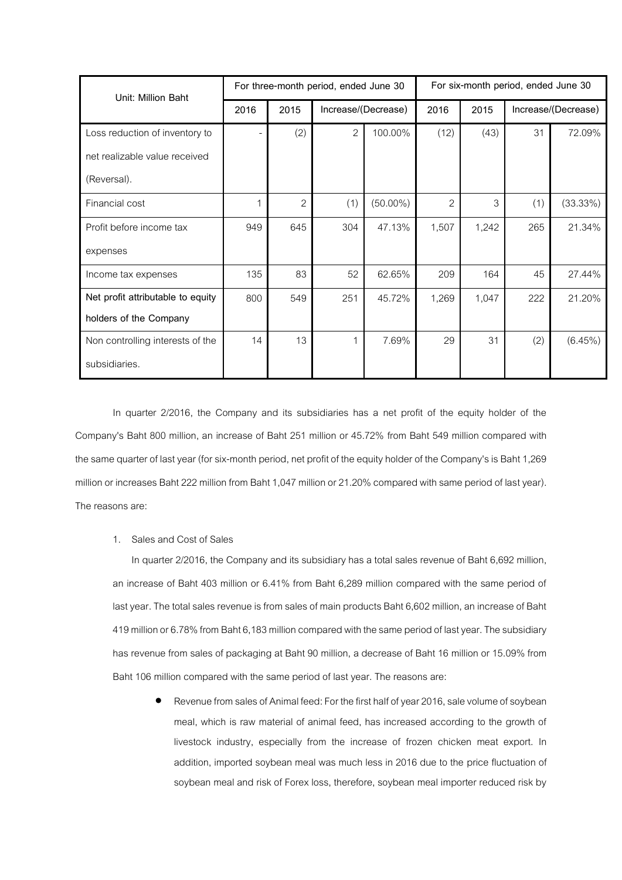| Unit: Million Baht                | For three-month period, ended June 30 |                |                     |             | For six-month period, ended June 30 |       |                     |          |
|-----------------------------------|---------------------------------------|----------------|---------------------|-------------|-------------------------------------|-------|---------------------|----------|
|                                   | 2016                                  | 2015           | Increase/(Decrease) |             | 2016                                | 2015  | Increase/(Decrease) |          |
| Loss reduction of inventory to    |                                       | (2)            | $\overline{2}$      | 100.00%     | (12)                                | (43)  | 31                  | 72.09%   |
| net realizable value received     |                                       |                |                     |             |                                     |       |                     |          |
| (Reversal).                       |                                       |                |                     |             |                                     |       |                     |          |
| Financial cost                    | 1                                     | $\overline{2}$ | (1)                 | $(50.00\%)$ | $\overline{2}$                      | 3     | (1)                 | (33.33%) |
| Profit before income tax          | 949                                   | 645            | 304                 | 47.13%      | 1,507                               | 1,242 | 265                 | 21.34%   |
| expenses                          |                                       |                |                     |             |                                     |       |                     |          |
| Income tax expenses               | 135                                   | 83             | 52                  | 62.65%      | 209                                 | 164   | 45                  | 27.44%   |
| Net profit attributable to equity | 800                                   | 549            | 251                 | 45.72%      | 1,269                               | 1,047 | 222                 | 21.20%   |
| holders of the Company            |                                       |                |                     |             |                                     |       |                     |          |
| Non controlling interests of the  | 14                                    | 13             |                     | 7.69%       | 29                                  | 31    | (2)                 | (6.45%)  |
| subsidiaries.                     |                                       |                |                     |             |                                     |       |                     |          |

In quarter 2/2016, the Company and its subsidiaries has a net profit of the equity holder of the Company's Baht 800 million, an increase of Baht 251 million or 45.72% from Baht 549 million compared with the same quarter of last year (for six-month period, net profit of the equity holder of the Company's is Baht 1,269 million or increases Baht 222 million from Baht 1,047 million or 21.20% compared with same period of last year). The reasons are:

1. Sales and Cost of Sales

In quarter 2/2016, the Company and its subsidiary has a total sales revenue of Baht 6,692 million, an increase of Baht 403 million or 6.41% from Baht 6,289 million compared with the same period of last year. The total sales revenue is from sales of main products Baht 6,602 million, an increase of Baht 419 million or 6.78% from Baht 6,183 million compared with the same period of last year. The subsidiary has revenue from sales of packaging at Baht 90 million, a decrease of Baht 16 million or 15.09% from Baht 106 million compared with the same period of last year. The reasons are:

Revenue from sales of Animal feed: For the first half of year 2016, sale volume of soybean meal, which is raw material of animal feed, has increased according to the growth of livestock industry, especially from the increase of frozen chicken meat export. In addition, imported soybean meal was much less in 2016 due to the price fluctuation of soybean meal and risk of Forex loss, therefore, soybean meal importer reduced risk by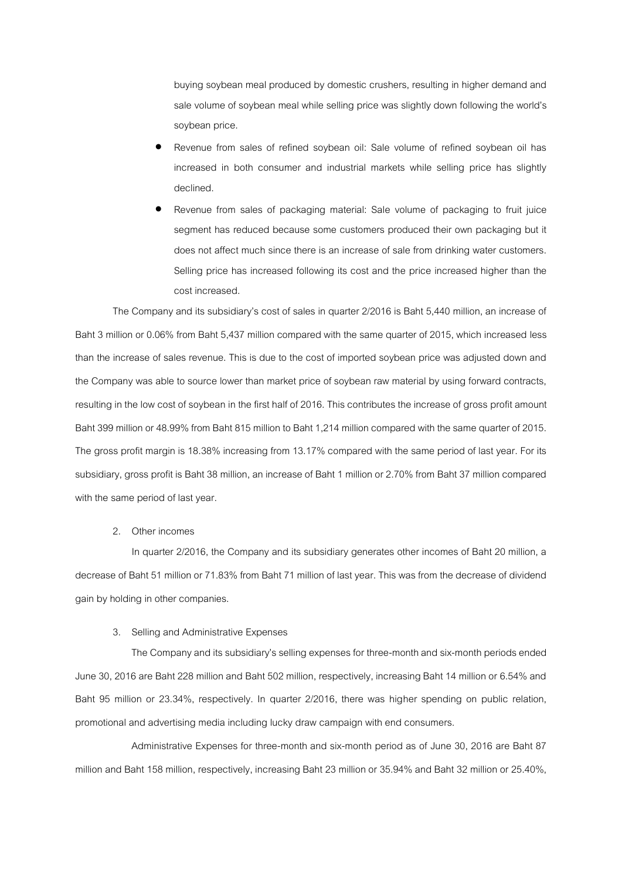buying soybean meal produced by domestic crushers, resulting in higher demand and sale volume of soybean meal while selling price was slightly down following the world's soybean price.

- Revenue from sales of refined soybean oil: Sale volume of refined soybean oil has increased in both consumer and industrial markets while selling price has slightly declined.
- Revenue from sales of packaging material: Sale volume of packaging to fruit juice segment has reduced because some customers produced their own packaging but it does not affect much since there is an increase of sale from drinking water customers. Selling price has increased following its cost and the price increased higher than the cost increased.

The Company and its subsidiary's cost of sales in quarter 2/2016 is Baht 5,440 million, an increase of Baht 3 million or 0.06% from Baht 5,437 million compared with the same quarter of 2015, which increased less than the increase of sales revenue. This is due to the cost of imported soybean price was adjusted down and the Company was able to source lower than market price of soybean raw material by using forward contracts, resulting in the low cost of soybean in the first half of 2016. This contributes the increase of gross profit amount Baht 399 million or 48.99% from Baht 815 million to Baht 1,214 million compared with the same quarter of 2015. The gross profit margin is 18.38% increasing from 13.17% compared with the same period of last year. For its subsidiary, gross profit is Baht 38 million, an increase of Baht 1 million or 2.70% from Baht 37 million compared with the same period of last year.

## 2. Other incomes

In quarter 2/2016, the Company and its subsidiary generates other incomes of Baht 20 million, a decrease of Baht 51 million or 71.83% from Baht 71 million of last year. This was from the decrease of dividend gain by holding in other companies.

#### 3. Selling and Administrative Expenses

The Company and its subsidiary's selling expenses for three-month and six-month periods ended June 30, 2016 are Baht 228 million and Baht 502 million, respectively, increasing Baht 14 million or 6.54% and Baht 95 million or 23.34%, respectively. In quarter 2/2016, there was higher spending on public relation, promotional and advertising media including lucky draw campaign with end consumers.

Administrative Expenses for three-month and six-month period as of June 30, 2016 are Baht 87 million and Baht 158 million, respectively, increasing Baht 23 million or 35.94% and Baht 32 million or 25.40%,